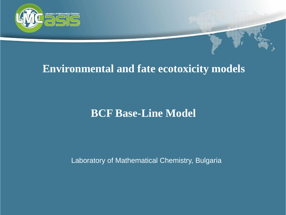

# **Environmental and fate ecotoxicity models**

# **BCF Base-Line Model**

Laboratory of Mathematical Chemistry, Bulgaria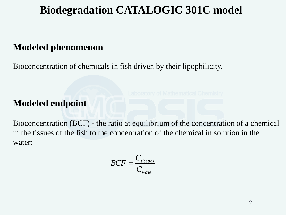# **Biodegradation CATALOGIC 301C model**

# **Modeled phenomenon**

Bioconcentration of chemicals in fish driven by their lipophilicity.

# **Modeled endpoint**

Bioconcentration (BCF) - the ratio at equilibrium of the concentration of a chemical in the tissues of the fish to the concentration of the chemical in solution in the water:

$$
BCF = \frac{C_{tissues}}{C_{water}}
$$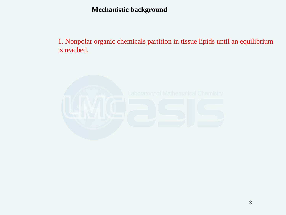1. Nonpolar organic chemicals partition in tissue lipids until an equilibrium is reached.

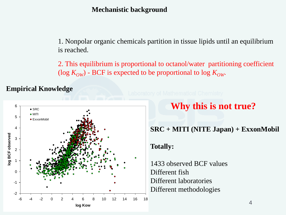1. Nonpolar organic chemicals partition in tissue lipids until an equilibrium is reached.

2. This equilibrium is proportional to octanol/water partitioning coefficient (log  $K_{OW}$ ) - BCF is expected to be proportional to log  $K_{OW}$ .

**Empirical Knowledge**





# **Why this is not true?**

### **SRC + MITI (NITE Japan) + ExxonMobil**

#### **Totally:**

1433 observed BCF values Different fish Different laboratories Different methodologies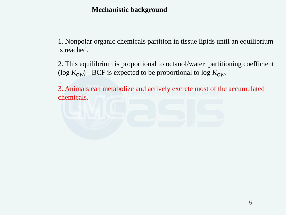1. Nonpolar organic chemicals partition in tissue lipids until an equilibrium is reached.

2. This equilibrium is proportional to octanol/water partitioning coefficient (log  $K_{OW}$ ) - BCF is expected to be proportional to log  $K_{OW}$ .

3. Animals can metabolize and actively excrete most of the accumulated chemicals.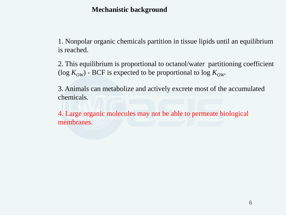1. Nonpolar organic chemicals partition in tissue lipids until an equilibrium is reached.

2. This equilibrium is proportional to octanol/water partitioning coefficient (log  $K_{OW}$ ) - BCF is expected to be proportional to log  $K_{OW}$ .

3. Animals can metabolize and actively excrete most of the accumulated chemicals.

4. Large organic molecules may not be able to permeate biological membranes.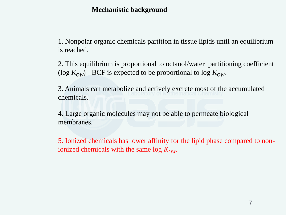1. Nonpolar organic chemicals partition in tissue lipids until an equilibrium is reached.

2. This equilibrium is proportional to octanol/water partitioning coefficient (log  $K_{OW}$ ) - BCF is expected to be proportional to log  $K_{OW}$ .

3. Animals can metabolize and actively excrete most of the accumulated chemicals.

4. Large organic molecules may not be able to permeate biological membranes.

5. Ionized chemicals has lower affinity for the lipid phase compared to nonionized chemicals with the same log  $K_{OW}$ .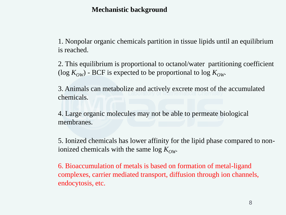1. Nonpolar organic chemicals partition in tissue lipids until an equilibrium is reached.

2. This equilibrium is proportional to octanol/water partitioning coefficient (log  $K_{OW}$ ) - BCF is expected to be proportional to log  $K_{OW}$ .

3. Animals can metabolize and actively excrete most of the accumulated chemicals.

4. Large organic molecules may not be able to permeate biological membranes.

5. Ionized chemicals has lower affinity for the lipid phase compared to nonionized chemicals with the same log  $K_{OW}$ .

6. Bioaccumulation of metals is based on formation of metal-ligand complexes, carrier mediated transport, diffusion through ion channels, endocytosis, etc.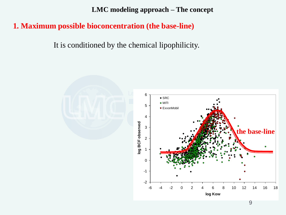**LMC modeling approach – The concept**

### **1. Maximum possible bioconcentration (the base-line)**

It is conditioned by the chemical lipophilicity.

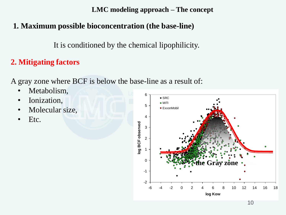**LMC modeling approach – The concept**

# **1. Maximum possible bioconcentration (the base-line)**

It is conditioned by the chemical lipophilicity.

# **2. Mitigating factors**

A gray zone where BCF is below the base-line as a result of:

- Metabolism,
- Ionization,
- Molecular size,
- Etc.

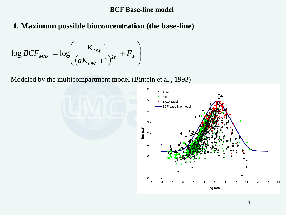#### **BCF Base-line model**

# **1. Maximum possible bioconcentration (the base-line)**

$$
\log BCF_{MAX} = \log \left( \frac{K_{OW}}{(aK_{OW} + 1)^{2n}} + F_W \right)
$$

Modeled by the multicompartment model (Bintein et al., 1993)

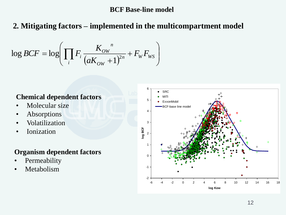#### **BCF Base-line model**

# **2. Mitigating factors – implemented in the multicompartment model**

$$
\log BCF = \log \left( \prod_i F_i \frac{K_{ow}^n}{(aK_{ow} + 1)^{2n}} + F_w F_{ws} \right)
$$

#### **Chemical dependent factors**

- Molecular size
- Absorptions
- Volatilization
- Ionization

#### **Organism dependent factors**

- **Permeability**
- Metabolism

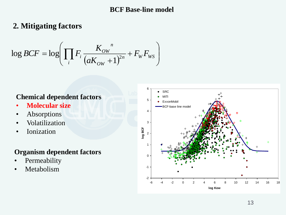#### **BCF Base-line model**

# **2. Mitigating factors**

$$
\log BCF = \log \left( \prod_i F_i \frac{K_{ow}^n}{(aK_{ow} + 1)^{2n}} + F_w F_{ws} \right)
$$

### **Chemical dependent factors**

- **Molecular size**
- Absorptions
- Volatilization
- Ionization

#### **Organism dependent factors**

- **Permeability**
- Metabolism

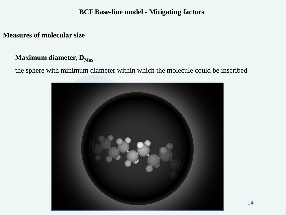#### **Measures of molecular size**

#### **Maximum diameter, D**<sub>Max</sub>

the sphere with minimum diameter within which the molecule could be inscribed

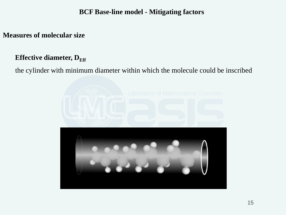#### **Measures of molecular size**

### **Effective diameter, D**<sub>Eff</sub>

the cylinder with minimum diameter within which the molecule could be inscribed

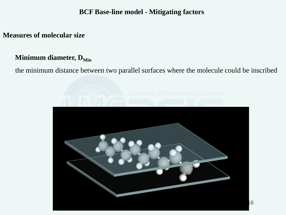#### **Measures of molecular size**

#### **Minimum diameter, D**<sub>Min</sub>

the minimum distance between two parallel surfaces where the molecule could be inscribed

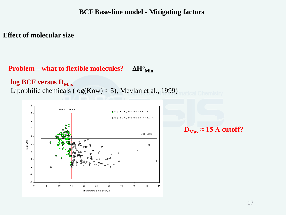#### **Effect of molecular size**

#### **Problem – what to flexible molecules?**  $\Delta H^{\rm o}{}_{\rm Min}$

#### log BCF versus D<sub>Max</sub>

Lipophilic chemicals (log(Kow) > 5), Meylan et al., 1999)



$$
D_{\text{Max}} \approx 15 \text{ Å cutoff?}
$$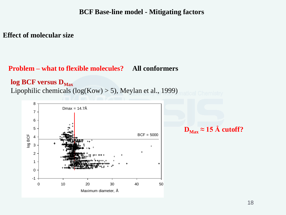#### **Effect of molecular size**

#### **Problem – what to flexible molecules? All conformers**

#### log BCF versus D<sub>Max</sub>

Lipophilic chemicals (log(Kow) > 5), Meylan et al., 1999)



 $D_{Max} \approx 15 \text{ Å}$  cutoff?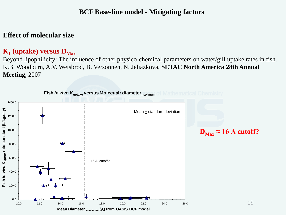#### **Effect of molecular size**

### $\mathbf{K}_1$  (uptake) versus  $\mathbf{D}_{\text{Max}}$

Beyond lipophilicity: The influence of other physico-chemical parameters on water/gill uptake rates in fish. K.B. Woodburn, A.V. Weisbrod, B. Versonnen, N. Jeliazkova, **SETAC North America 28th Annual Meeting**, 2007

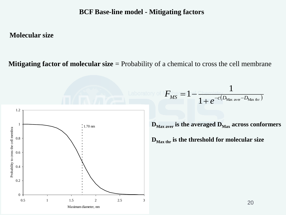#### **Molecular size**

**Mitigating factor of molecular size** = Probability of a chemical to cross the cell membrane



 $I_{MS} = 1 - \frac{1}{1 + e^{-c(D_{\text{Max aver}} - D)}}$ *e*

 $F_{\rm MS} = 1 - \frac{1}{1 + e^{-c(D_{\rm Max\;aver}})}$  $\overline{+}$ 

 $=1-$ 

 $1+e^{-c(D_{\text{Max aver}}-D_{\text{Max thr}})}$ 

1

 $D_{\text{Max aver}}$  is the averaged  $D_{\text{Max}}$  across conformers

**DMax thr is the threshold for molecular size**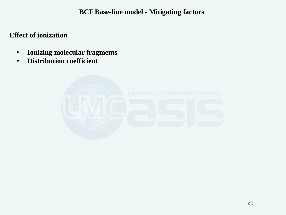**Effect of ionization**

- **Ionizing molecular fragments**
- **Distribution coefficient**

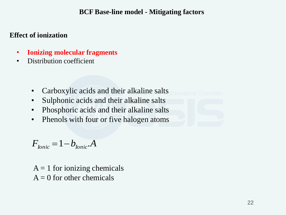#### **Effect of ionization**

- **Ionizing molecular fragments**
- Distribution coefficient
	- Carboxylic acids and their alkaline salts
	- Sulphonic acids and their alkaline salts
	- Phosphoric acids and their alkaline salts
	- Phenols with four or five halogen atoms

$$
F_{\text{lonic}} = 1 - b_{\text{lonic}} A
$$

 $A = 1$  for ionizing chemicals  $A = 0$  for other chemicals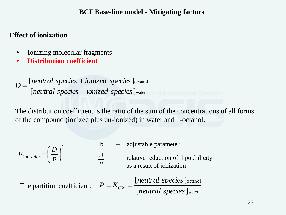#### **Effect of ionization**

- Ionizing molecular fragments
- **Distribution coefficient**

water octanol [neutral species + ionized species] [neutral species + ionized species] *neutral species ionized species neutral species ionized species <sup>D</sup>*  $+$  $\overline{+}$  $=$ 

The distribution coefficient is the ratio of the sum of the concentrations of all forms of the compound (ionized plus un-ionized) in water and 1-octanol.

$$
b - adjustable parameter
$$

$$
F_{\text{Ionization}} = \left(\frac{D}{P}\right)^b \qquad \qquad \frac{D}{P} \qquad -
$$

relative reduction of lipophilicity as a result of ionization

water

octanol

[neutral species] [neutral species] *neutral species neutral species* The partition coefficient:  $P = K_{OW} =$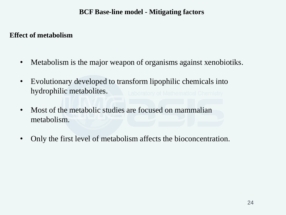#### **Effect of metabolism**

- Metabolism is the major weapon of organisms against xenobiotiks.
- Evolutionary developed to transform lipophilic chemicals into hydrophilic metabolites.
- Most of the metabolic studies are focused on mammalian metabolism.
- Only the first level of metabolism affects the bioconcentration.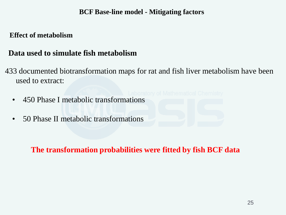#### **Effect of metabolism**

### **Data used to simulate fish metabolism**

- 433 documented biotransformation maps for rat and fish liver metabolism have been used to extract:
	- 450 Phase I metabolic transformations
	- 50 Phase II metabolic transformations

### **The transformation probabilities were fitted by fish BCF data**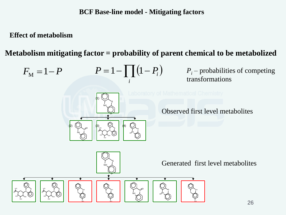**Effect of metabolism**

N OH HO HO O HO O

S

N OH HO HO O HO

S

**Metabolism mitigating factor = probability of parent chemical to be metabolized**

$$
F_{\rm M} = 1 - P \qquad P = 1 - \prod_i (1 - P_i)
$$

(1)

(3)

NH

S

N OH HO HO O HO

NH

S NH

S

HO

S

NH O

> NH S O

NH O

S

(4)

S

NH S O

HO

S NH

(2)

 $P_i$  – probabilities of competing transformations

Observed first level metabolites

Generated first level metabolites

HO

S NH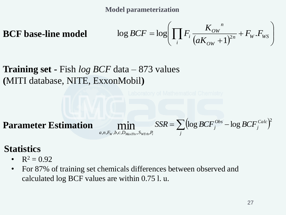**Model parameterization**

**BCF base-line model** 

$$
\log BCF = \log \left( \prod_i F_i \frac{K_{ow}^n}{(aK_{ow} + 1)^{2n}} + F_w . F_{ws} \right)
$$

**Training set -** Fish *log BCF* data – 873 values **(**MITI database, NITE, ExxonMobil**)**

**Parameter Estimation**

$$
\min_{a,n,F_W,b,c,D_{MaxThr},S_{WTrh},P_i}SSR = \sum_j \left(\log BCF_j^{Obs} - \log BCF_j^{Calc}\right)^2
$$

# **Statistics**

- $R^2 = 0.92$
- For 87% of training set chemicals differences between observed and calculated log BCF values are within 0.75 l. u.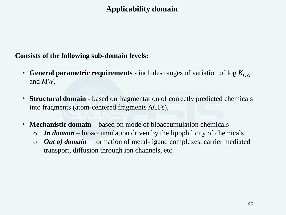# **Applicability domain**

**Consists of the following sub-domain levels:**

- **General parametric requirements** includes ranges of variation of  $\log K_{\text{OW}}$ and *MW*,
- **Structural domain**  based on fragmentation of correctly predicted chemicals into fragments (atom-centered fragments ACFs),
- **Mechanistic domain**  based on mode of bioaccumulation chemicals
	- o *In domain*  bioaccumulation driven by the lipophilicity of chemicals
	- o *Out of domain*  formation of metal-ligand complexes, carrier mediated transport, diffusion through ion channels, etc.